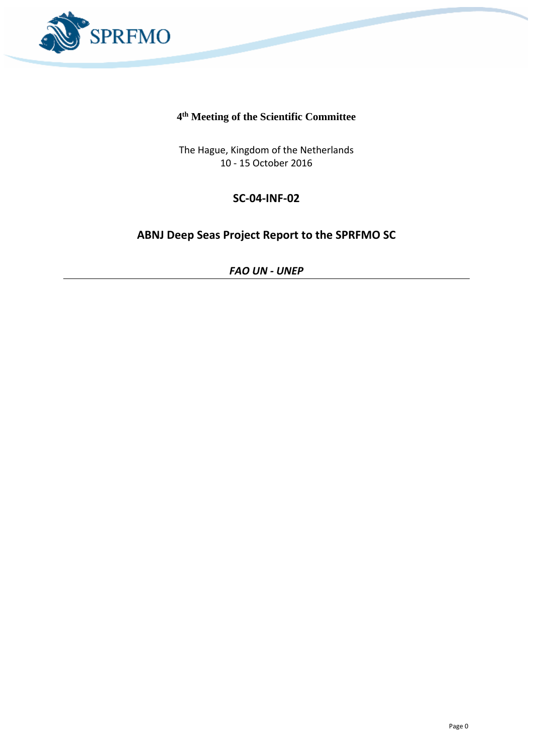

### **4 th Meeting of the Scientific Committee**

The Hague, Kingdom of the Netherlands 10 - 15 October 2016

# **SC-04-INF-02**

# **ABNJ Deep Seas Project Report to the SPRFMO SC**

*FAO UN - UNEP*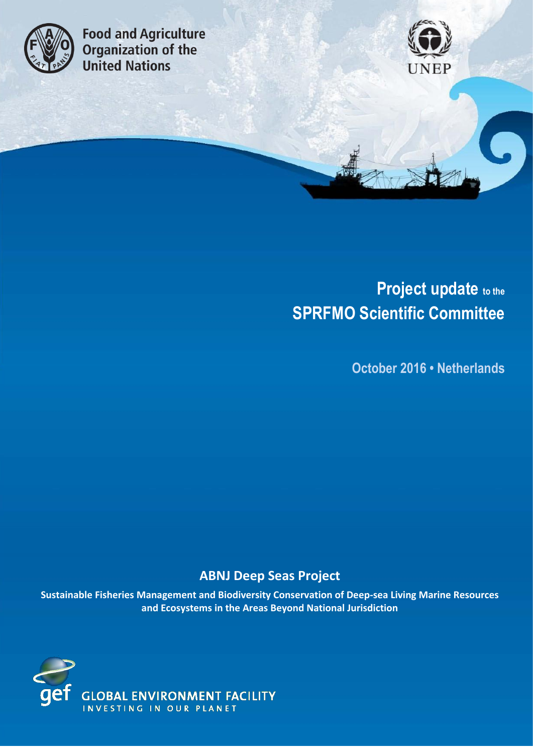

**Food and Agriculture Code dina Agriculture**<br>**Organization of the**<br>**United Nations** 



# **Project update to the SPRFMO Scientific Committee**

**October 2016 • Netherlands**

# **ABNJ Deep Seas Project**

**Sustainable Fisheries Management and Biodiversity Conservation of Deep-sea Living Marine Resources and Ecosystems in the Areas Beyond National Jurisdiction**

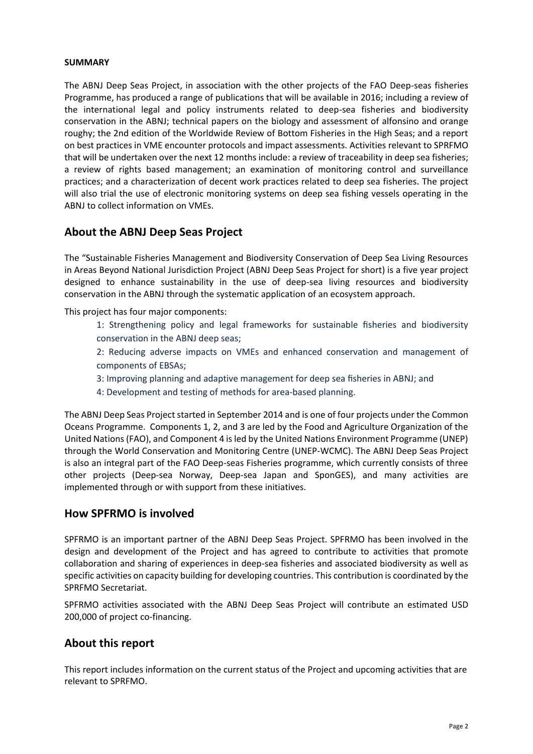#### **SUMMARY**

The ABNJ Deep Seas Project, in association with the other projects of the FAO Deep-seas fisheries Programme, has produced a range of publications that will be available in 2016; including a review of the international legal and policy instruments related to deep-sea fisheries and biodiversity conservation in the ABNJ; technical papers on the biology and assessment of alfonsino and orange roughy; the 2nd edition of the Worldwide Review of Bottom Fisheries in the High Seas; and a report on best practices in VME encounter protocols and impact assessments. Activities relevant to SPRFMO that will be undertaken over the next 12 months include: a review of traceability in deep sea fisheries; a review of rights based management; an examination of monitoring control and surveillance practices; and a characterization of decent work practices related to deep sea fisheries. The project will also trial the use of electronic monitoring systems on deep sea fishing vessels operating in the ABNJ to collect information on VMEs.

## **About the ABNJ Deep Seas Project**

The "Sustainable Fisheries Management and Biodiversity Conservation of Deep Sea Living Resources in Areas Beyond National Jurisdiction Project (ABNJ Deep Seas Project for short) is a five year project designed to enhance sustainability in the use of deep-sea living resources and biodiversity conservation in the ABNJ through the systematic application of an ecosystem approach.

This project has four major components:

1: Strengthening policy and legal frameworks for sustainable fisheries and biodiversity conservation in the ABNJ deep seas;

2: Reducing adverse impacts on VMEs and enhanced conservation and management of components of EBSAs;

- 3: Improving planning and adaptive management for deep sea fisheries in ABNJ; and
- 4: Development and testing of methods for area-based planning.

The ABNJ Deep Seas Project started in September 2014 and is one of four projects under the Common Oceans Programme. Components 1, 2, and 3 are led by the Food and Agriculture Organization of the United Nations (FAO), and Component 4 is led by the United Nations Environment Programme (UNEP) through the World Conservation and Monitoring Centre (UNEP-WCMC). The ABNJ Deep Seas Project is also an integral part of the FAO Deep-seas Fisheries programme, which currently consists of three other projects (Deep-sea Norway, Deep-sea Japan and SponGES), and many activities are implemented through or with support from these initiatives.

#### **How SPFRMO is involved**

SPFRMO is an important partner of the ABNJ Deep Seas Project. SPFRMO has been involved in the design and development of the Project and has agreed to contribute to activities that promote collaboration and sharing of experiences in deep-sea fisheries and associated biodiversity as well as specific activities on capacity building for developing countries. This contribution is coordinated by the SPRFMO Secretariat.

SPFRMO activities associated with the ABNJ Deep Seas Project will contribute an estimated USD 200,000 of project co-financing.

#### **About this report**

This report includes information on the current status of the Project and upcoming activities that are relevant to SPRFMO.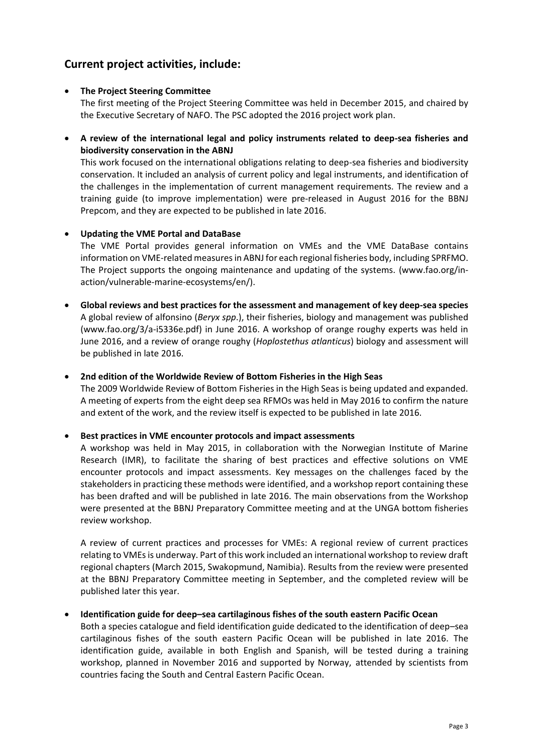# **Current project activities, include:**

#### **The Project Steering Committee**

The first meeting of the Project Steering Committee was held in December 2015, and chaired by the Executive Secretary of NAFO. The PSC adopted the 2016 project work plan.

 **A review of the international legal and policy instruments related to deep-sea fisheries and biodiversity conservation in the ABNJ**

This work focused on the international obligations relating to deep-sea fisheries and biodiversity conservation. It included an analysis of current policy and legal instruments, and identification of the challenges in the implementation of current management requirements. The review and a training guide (to improve implementation) were pre-released in August 2016 for the BBNJ Prepcom, and they are expected to be published in late 2016.

#### **Updating the VME Portal and DataBase**

The VME Portal provides general information on VMEs and the VME DataBase contains information on VME-related measures in ABNJ for each regional fisheries body, including SPRFMO. The Project supports the ongoing maintenance and updating of the systems. [\(www.fao.org/in](http://www.fao.org/in-action/vulnerable-marine-ecosystems/en/)[action/vulnerable-marine-ecosystems/en/\)](http://www.fao.org/in-action/vulnerable-marine-ecosystems/en/).

 **Global reviews and best practices for the assessment and management of key deep-sea species** A global review of alfonsino (*Beryx spp*.), their fisheries, biology and management was published [\(www.fao.org/3/a-i5336e.pdf\)](http://www.fao.org/3/a-i5336e.pdf) in June 2016. A workshop of orange roughy experts was held in June 2016, and a review of orange roughy (*Hoplostethus atlanticus*) biology and assessment will be published in late 2016.

**2nd edition of the Worldwide Review of Bottom Fisheries in the High Seas**

The 2009 Worldwide Review of Bottom Fisheries in the High Seas is being updated and expanded. A meeting of experts from the eight deep sea RFMOs was held in May 2016 to confirm the nature and extent of the work, and the review itself is expected to be published in late 2016.

**Best practices in VME encounter protocols and impact assessments**

A workshop was held in May 2015, in collaboration with the Norwegian Institute of Marine Research (IMR), to facilitate the sharing of best practices and effective solutions on VME encounter protocols and impact assessments. Key messages on the challenges faced by the stakeholders in practicing these methods were identified, and a workshop report containing these has been drafted and will be published in late 2016. The main observations from the Workshop were presented at the BBNJ Preparatory Committee meeting and at the UNGA bottom fisheries review workshop.

A review of current practices and processes for VMEs: A regional review of current practices relating to VMEs is underway. Part of this work included an international workshop to review draft regional chapters (March 2015, Swakopmund, Namibia). Results from the review were presented at the BBNJ Preparatory Committee meeting in September, and the completed review will be published later this year.

#### **Identification guide for deep–sea cartilaginous fishes of the south eastern Pacific Ocean**

Both a species catalogue and field identification guide dedicated to the identification of deep–sea cartilaginous fishes of the south eastern Pacific Ocean will be published in late 2016. The identification guide, available in both English and Spanish, will be tested during a training workshop, planned in November 2016 and supported by Norway, attended by scientists from countries facing the South and Central Eastern Pacific Ocean.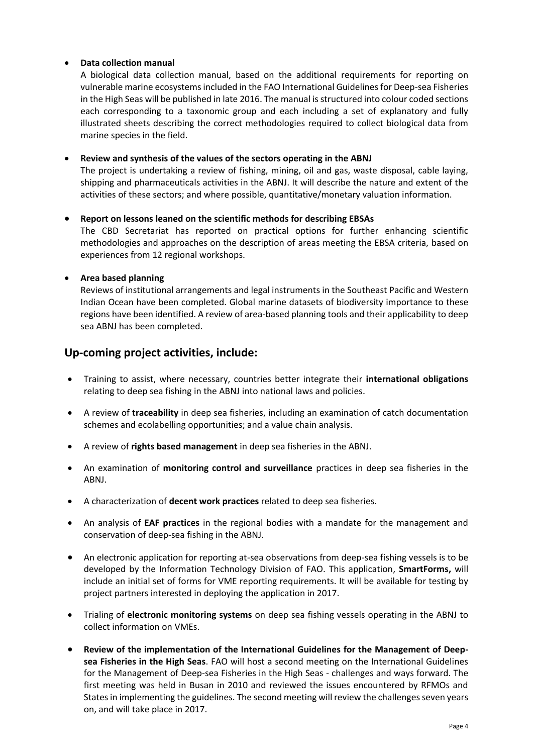#### **Data collection manual**

A biological data collection manual, based on the additional requirements for reporting on vulnerable marine ecosystems included in the FAO International Guidelines for Deep-sea Fisheries in the High Seas will be published in late 2016. The manual is structured into colour coded sections each corresponding to a taxonomic group and each including a set of explanatory and fully illustrated sheets describing the correct methodologies required to collect biological data from marine species in the field.

#### **Review and synthesis of the values of the sectors operating in the ABNJ**

The project is undertaking a review of fishing, mining, oil and gas, waste disposal, cable laying, shipping and pharmaceuticals activities in the ABNJ. It will describe the nature and extent of the activities of these sectors; and where possible, quantitative/monetary valuation information.

#### **Report on lessons leaned on the scientific methods for describing EBSAs**

The CBD Secretariat has reported on practical options for further enhancing scientific methodologies and approaches on the description of areas meeting the EBSA criteria, based on experiences from 12 regional workshops.

#### **Area based planning**

Reviews of institutional arrangements and legal instruments in the Southeast Pacific and Western Indian Ocean have been completed. Global marine datasets of biodiversity importance to these regions have been identified. A review of area-based planning tools and their applicability to deep sea ABNJ has been completed.

#### **Up-coming project activities, include:**

- Training to assist, where necessary, countries better integrate their **international obligations** relating to deep sea fishing in the ABNJ into national laws and policies.
- A review of **traceability** in deep sea fisheries, including an examination of catch documentation schemes and ecolabelling opportunities; and a value chain analysis.
- A review of **rights based management** in deep sea fisheries in the ABNJ.
- An examination of **monitoring control and surveillance** practices in deep sea fisheries in the ABNJ.
- A characterization of **decent work practices** related to deep sea fisheries.
- An analysis of **EAF practices** in the regional bodies with a mandate for the management and conservation of deep-sea fishing in the ABNJ.
- An electronic application for reporting at-sea observations from deep-sea fishing vessels is to be developed by the Information Technology Division of FAO. This application, **SmartForms,** will include an initial set of forms for VME reporting requirements. It will be available for testing by project partners interested in deploying the application in 2017.
- Trialing of **electronic monitoring systems** on deep sea fishing vessels operating in the ABNJ to collect information on VMEs.
- **Review of the implementation of the International Guidelines for the Management of Deepsea Fisheries in the High Seas**. FAO will host a second meeting on the International Guidelines for the Management of Deep-sea Fisheries in the High Seas - challenges and ways forward. The first meeting was held in Busan in 2010 and reviewed the issues encountered by RFMOs and States in implementing the guidelines. The second meeting will review the challenges seven years on, and will take place in 2017.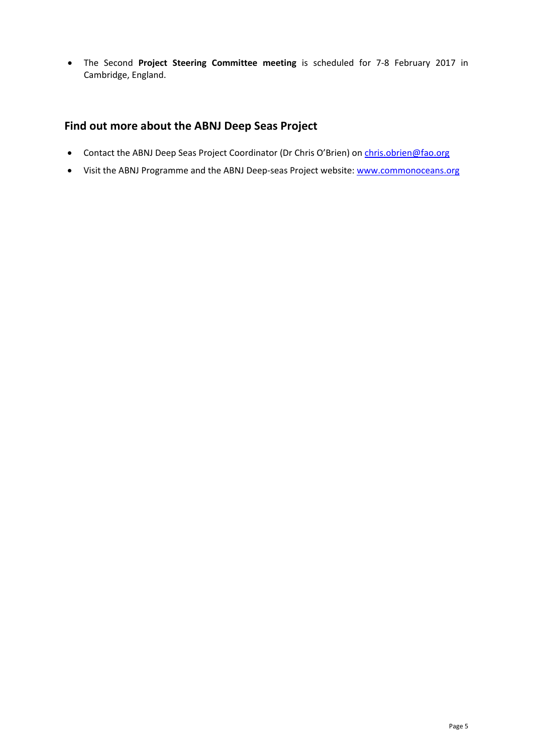The Second **Project Steering Committee meeting** is scheduled for 7-8 February 2017 in Cambridge, England.

# **Find out more about the ABNJ Deep Seas Project**

- Contact the ABNJ Deep Seas Project Coordinator (Dr Chris O'Brien) on [chris.obrien@fao.org](mailto:chris.obrien@fao.org)
- Visit the ABNJ Programme and the ABNJ Deep-seas Project website[: www.commonoceans.org](http://www.commonoceans.org/)